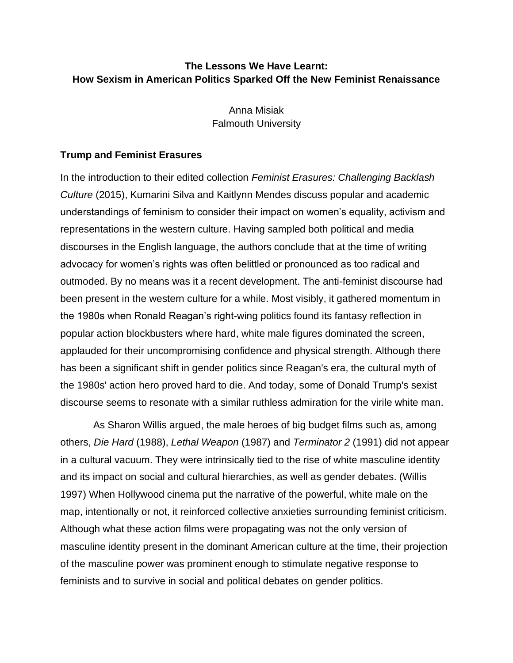# **The Lessons We Have Learnt: How Sexism in American Politics Sparked Off the New Feminist Renaissance**

Anna Misiak Falmouth University

## **Trump and Feminist Erasures**

In the introduction to their edited collection *Feminist Erasures: Challenging Backlash Culture* (2015), Kumarini Silva and Kaitlynn Mendes discuss popular and academic understandings of feminism to consider their impact on women's equality, activism and representations in the western culture. Having sampled both political and media discourses in the English language, the authors conclude that at the time of writing advocacy for women's rights was often belittled or pronounced as too radical and outmoded. By no means was it a recent development. The anti-feminist discourse had been present in the western culture for a while. Most visibly, it gathered momentum in the 1980s when Ronald Reagan's right-wing politics found its fantasy reflection in popular action blockbusters where hard, white male figures dominated the screen, applauded for their uncompromising confidence and physical strength. Although there has been a significant shift in gender politics since Reagan's era, the cultural myth of the 1980s' action hero proved hard to die. And today, some of Donald Trump's sexist discourse seems to resonate with a similar ruthless admiration for the virile white man.

As Sharon Willis argued, the male heroes of big budget films such as, among others, *Die Hard* (1988), *Lethal Weapon* (1987) and *Terminator 2* (1991) did not appear in a cultural vacuum. They were intrinsically tied to the rise of white masculine identity and its impact on social and cultural hierarchies, as well as gender debates. (Willis 1997) When Hollywood cinema put the narrative of the powerful, white male on the map, intentionally or not, it reinforced collective anxieties surrounding feminist criticism. Although what these action films were propagating was not the only version of masculine identity present in the dominant American culture at the time, their projection of the masculine power was prominent enough to stimulate negative response to feminists and to survive in social and political debates on gender politics.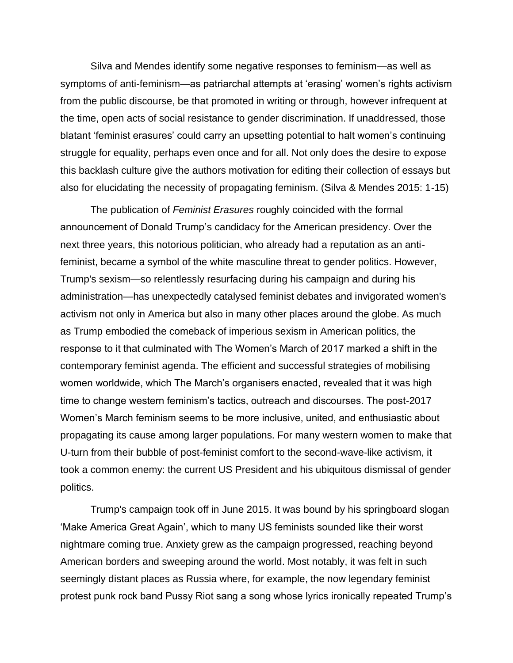Silva and Mendes identify some negative responses to feminism—as well as symptoms of anti-feminism—as patriarchal attempts at 'erasing' women's rights activism from the public discourse, be that promoted in writing or through, however infrequent at the time, open acts of social resistance to gender discrimination. If unaddressed, those blatant 'feminist erasures' could carry an upsetting potential to halt women's continuing struggle for equality, perhaps even once and for all. Not only does the desire to expose this backlash culture give the authors motivation for editing their collection of essays but also for elucidating the necessity of propagating feminism. (Silva & Mendes 2015: 1-15)

The publication of *Feminist Erasures* roughly coincided with the formal announcement of Donald Trump's candidacy for the American presidency. Over the next three years, this notorious politician, who already had a reputation as an antifeminist, became a symbol of the white masculine threat to gender politics. However, Trump's sexism—so relentlessly resurfacing during his campaign and during his administration—has unexpectedly catalysed feminist debates and invigorated women's activism not only in America but also in many other places around the globe. As much as Trump embodied the comeback of imperious sexism in American politics, the response to it that culminated with The Women's March of 2017 marked a shift in the contemporary feminist agenda. The efficient and successful strategies of mobilising women worldwide, which The March's organisers enacted, revealed that it was high time to change western feminism's tactics, outreach and discourses. The post-2017 Women's March feminism seems to be more inclusive, united, and enthusiastic about propagating its cause among larger populations. For many western women to make that U-turn from their bubble of post-feminist comfort to the second-wave-like activism, it took a common enemy: the current US President and his ubiquitous dismissal of gender politics.

Trump's campaign took off in June 2015. It was bound by his springboard slogan 'Make America Great Again', which to many US feminists sounded like their worst nightmare coming true. Anxiety grew as the campaign progressed, reaching beyond American borders and sweeping around the world. Most notably, it was felt in such seemingly distant places as Russia where, for example, the now legendary feminist protest punk rock band Pussy Riot sang a song whose lyrics ironically repeated Trump's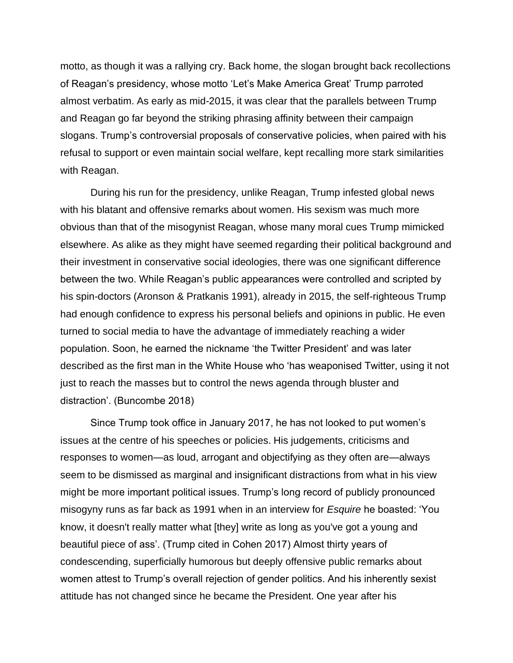motto, as though it was a rallying cry. Back home, the slogan brought back recollections of Reagan's presidency, whose motto 'Let's Make America Great' Trump parroted almost verbatim. As early as mid-2015, it was clear that the parallels between Trump and Reagan go far beyond the striking phrasing affinity between their campaign slogans. Trump's controversial proposals of conservative policies, when paired with his refusal to support or even maintain social welfare, kept recalling more stark similarities with Reagan.

During his run for the presidency, unlike Reagan, Trump infested global news with his blatant and offensive remarks about women. His sexism was much more obvious than that of the misogynist Reagan, whose many moral cues Trump mimicked elsewhere. As alike as they might have seemed regarding their political background and their investment in conservative social ideologies, there was one significant difference between the two. While Reagan's public appearances were controlled and scripted by his spin-doctors (Aronson & Pratkanis 1991), already in 2015, the self-righteous Trump had enough confidence to express his personal beliefs and opinions in public. He even turned to social media to have the advantage of immediately reaching a wider population. Soon, he earned the nickname 'the Twitter President' and was later described as the first man in the White House who 'has weaponised Twitter, using it not just to reach the masses but to control the news agenda through bluster and distraction'. (Buncombe 2018)

Since Trump took office in January 2017, he has not looked to put women's issues at the centre of his speeches or policies. His judgements, criticisms and responses to women—as loud, arrogant and objectifying as they often are—always seem to be dismissed as marginal and insignificant distractions from what in his view might be more important political issues. Trump's long record of publicly pronounced misogyny runs as far back as 1991 when in an interview for *Esquire* he boasted: 'You know, it doesn't really matter what [they] write as long as you've got a young and beautiful piece of ass'. (Trump cited in Cohen 2017) Almost thirty years of condescending, superficially humorous but deeply offensive public remarks about women attest to Trump's overall rejection of gender politics. And his inherently sexist attitude has not changed since he became the President. One year after his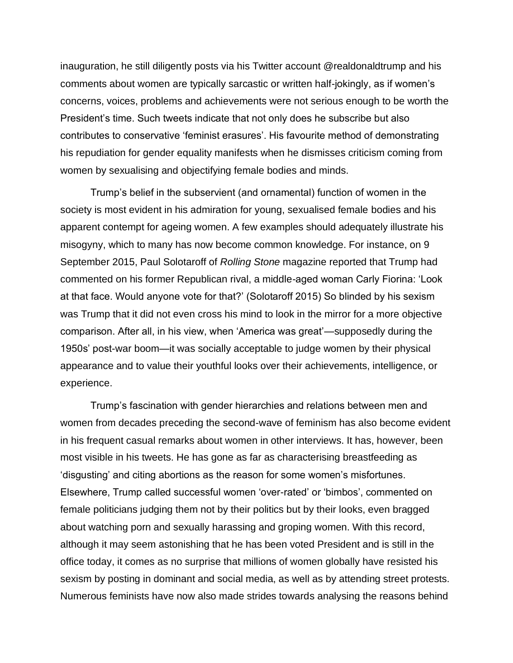inauguration, he still diligently posts via his Twitter account @realdonaldtrump and his comments about women are typically sarcastic or written half-jokingly, as if women's concerns, voices, problems and achievements were not serious enough to be worth the President's time. Such tweets indicate that not only does he subscribe but also contributes to conservative 'feminist erasures'. His favourite method of demonstrating his repudiation for gender equality manifests when he dismisses criticism coming from women by sexualising and objectifying female bodies and minds.

Trump's belief in the subservient (and ornamental) function of women in the society is most evident in his admiration for young, sexualised female bodies and his apparent contempt for ageing women. A few examples should adequately illustrate his misogyny, which to many has now become common knowledge. For instance, on 9 September 2015, Paul Solotaroff of *Rolling Stone* magazine reported that Trump had commented on his former Republican rival, a middle-aged woman Carly Fiorina: 'Look at that face. Would anyone vote for that?' (Solotaroff 2015) So blinded by his sexism was Trump that it did not even cross his mind to look in the mirror for a more objective comparison. After all, in his view, when 'America was great'—supposedly during the 1950s' post-war boom—it was socially acceptable to judge women by their physical appearance and to value their youthful looks over their achievements, intelligence, or experience.

Trump's fascination with gender hierarchies and relations between men and women from decades preceding the second-wave of feminism has also become evident in his frequent casual remarks about women in other interviews. It has, however, been most visible in his tweets. He has gone as far as characterising breastfeeding as 'disgusting' and citing abortions as the reason for some women's misfortunes. Elsewhere, Trump called successful women 'over-rated' or 'bimbos', commented on female politicians judging them not by their politics but by their looks, even bragged about watching porn and sexually harassing and groping women. With this record, although it may seem astonishing that he has been voted President and is still in the office today, it comes as no surprise that millions of women globally have resisted his sexism by posting in dominant and social media, as well as by attending street protests. Numerous feminists have now also made strides towards analysing the reasons behind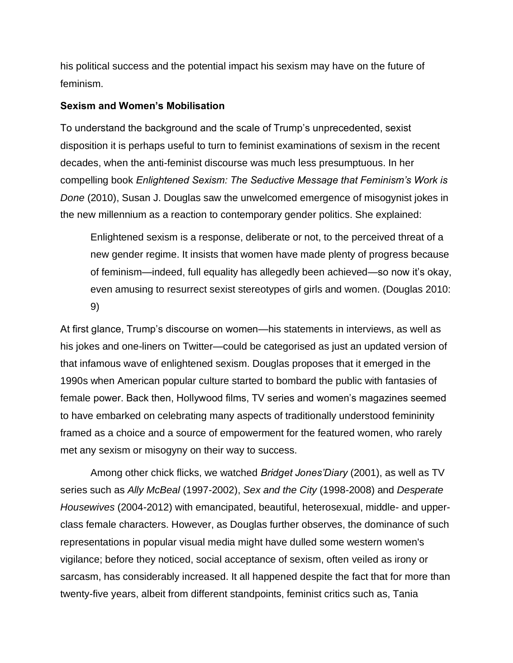his political success and the potential impact his sexism may have on the future of feminism.

## **Sexism and Women's Mobilisation**

To understand the background and the scale of Trump's unprecedented, sexist disposition it is perhaps useful to turn to feminist examinations of sexism in the recent decades, when the anti-feminist discourse was much less presumptuous. In her compelling book *Enlightened Sexism: The Seductive Message that Feminism's Work is Done* (2010), Susan J. Douglas saw the unwelcomed emergence of misogynist jokes in the new millennium as a reaction to contemporary gender politics. She explained:

Enlightened sexism is a response, deliberate or not, to the perceived threat of a new gender regime. It insists that women have made plenty of progress because of feminism—indeed, full equality has allegedly been achieved—so now it's okay, even amusing to resurrect sexist stereotypes of girls and women. (Douglas 2010: 9)

At first glance, Trump's discourse on women—his statements in interviews, as well as his jokes and one-liners on Twitter—could be categorised as just an updated version of that infamous wave of enlightened sexism. Douglas proposes that it emerged in the 1990s when American popular culture started to bombard the public with fantasies of female power. Back then, Hollywood films, TV series and women's magazines seemed to have embarked on celebrating many aspects of traditionally understood femininity framed as a choice and a source of empowerment for the featured women, who rarely met any sexism or misogyny on their way to success.

Among other chick flicks, we watched *Bridget Jones'Diary* (2001), as well as TV series such as *Ally McBeal* (1997-2002), *Sex and the City* (1998-2008) and *Desperate Housewives* (2004-2012) with emancipated, beautiful, heterosexual, middle- and upperclass female characters. However, as Douglas further observes, the dominance of such representations in popular visual media might have dulled some western women's vigilance; before they noticed, social acceptance of sexism, often veiled as irony or sarcasm, has considerably increased. It all happened despite the fact that for more than twenty-five years, albeit from different standpoints, feminist critics such as, Tania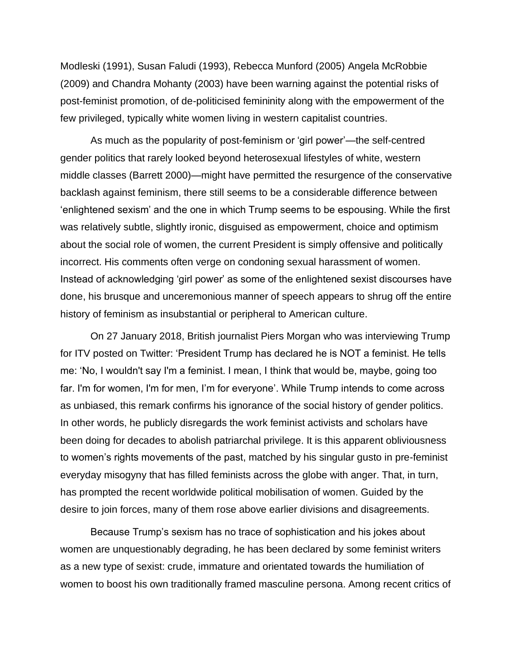Modleski (1991), Susan Faludi (1993), Rebecca Munford (2005) Angela McRobbie (2009) and Chandra Mohanty (2003) have been warning against the potential risks of post-feminist promotion, of de-politicised femininity along with the empowerment of the few privileged, typically white women living in western capitalist countries.

As much as the popularity of post-feminism or 'girl power'—the self-centred gender politics that rarely looked beyond heterosexual lifestyles of white, western middle classes (Barrett 2000)—might have permitted the resurgence of the conservative backlash against feminism, there still seems to be a considerable difference between 'enlightened sexism' and the one in which Trump seems to be espousing. While the first was relatively subtle, slightly ironic, disguised as empowerment, choice and optimism about the social role of women, the current President is simply offensive and politically incorrect. His comments often verge on condoning sexual harassment of women. Instead of acknowledging 'girl power' as some of the enlightened sexist discourses have done, his brusque and unceremonious manner of speech appears to shrug off the entire history of feminism as insubstantial or peripheral to American culture.

On 27 January 2018, British journalist Piers Morgan who was interviewing Trump for ITV posted on Twitter: 'President Trump has declared he is NOT a feminist. He tells me: 'No, I wouldn't say I'm a feminist. I mean, I think that would be, maybe, going too far. I'm for women, I'm for men, I'm for everyone'. While Trump intends to come across as unbiased, this remark confirms his ignorance of the social history of gender politics. In other words, he publicly disregards the work feminist activists and scholars have been doing for decades to abolish patriarchal privilege. It is this apparent obliviousness to women's rights movements of the past, matched by his singular gusto in pre-feminist everyday misogyny that has filled feminists across the globe with anger. That, in turn, has prompted the recent worldwide political mobilisation of women. Guided by the desire to join forces, many of them rose above earlier divisions and disagreements.

Because Trump's sexism has no trace of sophistication and his jokes about women are unquestionably degrading, he has been declared by some feminist writers as a new type of sexist: crude, immature and orientated towards the humiliation of women to boost his own traditionally framed masculine persona. Among recent critics of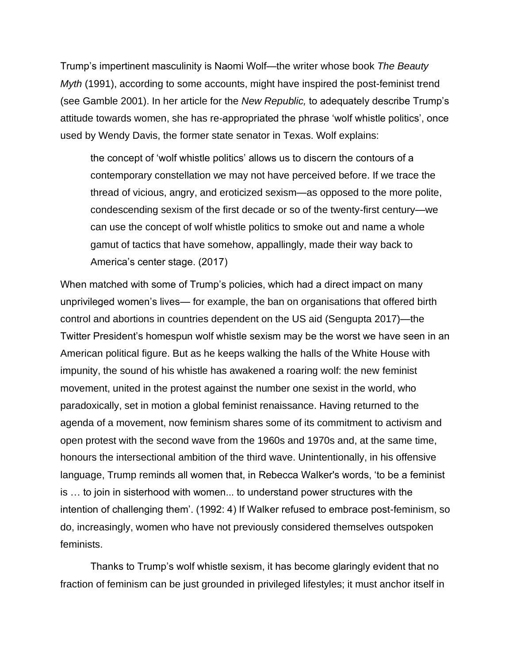Trump's impertinent masculinity is Naomi Wolf—the writer whose book *The Beauty Myth* (1991), according to some accounts, might have inspired the post-feminist trend (see Gamble 2001). In her article for the *New Republic,* to adequately describe Trump's attitude towards women, she has re-appropriated the phrase 'wolf whistle politics', once used by Wendy Davis, the former state senator in Texas. Wolf explains:

the concept of 'wolf whistle politics' allows us to discern the contours of a contemporary constellation we may not have perceived before. If we trace the thread of vicious, angry, and eroticized sexism—as opposed to the more polite, condescending sexism of the first decade or so of the twenty-first century—we can use the concept of wolf whistle politics to smoke out and name a whole gamut of tactics that have somehow, appallingly, made their way back to America's center stage. (2017)

When matched with some of Trump's policies, which had a direct impact on many unprivileged women's lives— for example, the ban on organisations that offered birth control and abortions in countries dependent on the US aid (Sengupta 2017)—the Twitter President's homespun wolf whistle sexism may be the worst we have seen in an American political figure. But as he keeps walking the halls of the White House with impunity, the sound of his whistle has awakened a roaring wolf: the new feminist movement, united in the protest against the number one sexist in the world, who paradoxically, set in motion a global feminist renaissance. Having returned to the agenda of a movement, now feminism shares some of its commitment to activism and open protest with the second wave from the 1960s and 1970s and, at the same time, honours the intersectional ambition of the third wave. Unintentionally, in his offensive language, Trump reminds all women that, in Rebecca Walker's words, 'to be a feminist is … to join in sisterhood with women... to understand power structures with the intention of challenging them'. (1992: 4) If Walker refused to embrace post-feminism, so do, increasingly, women who have not previously considered themselves outspoken feminists.

Thanks to Trump's wolf whistle sexism, it has become glaringly evident that no fraction of feminism can be just grounded in privileged lifestyles; it must anchor itself in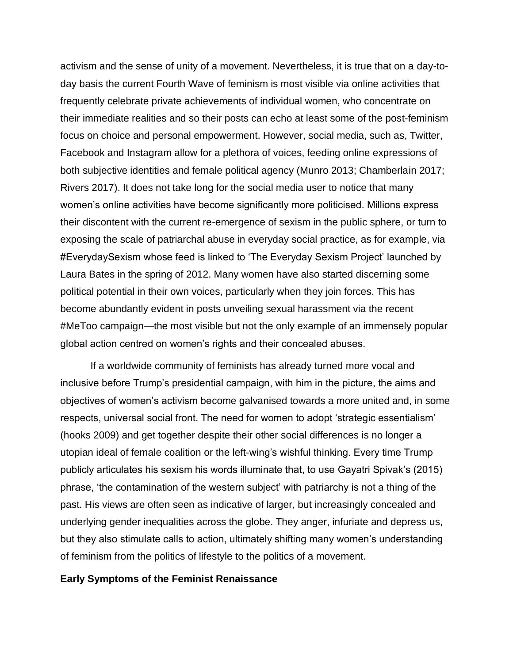activism and the sense of unity of a movement. Nevertheless, it is true that on a day-today basis the current Fourth Wave of feminism is most visible via online activities that frequently celebrate private achievements of individual women, who concentrate on their immediate realities and so their posts can echo at least some of the post-feminism focus on choice and personal empowerment. However, social media, such as, Twitter, Facebook and Instagram allow for a plethora of voices, feeding online expressions of both subjective identities and female political agency (Munro 2013; Chamberlain 2017; Rivers 2017). It does not take long for the social media user to notice that many women's online activities have become significantly more politicised. Millions express their discontent with the current re-emergence of sexism in the public sphere, or turn to exposing the scale of patriarchal abuse in everyday social practice, as for example, via #EverydaySexism whose feed is linked to 'The Everyday Sexism Project' launched by Laura Bates in the spring of 2012. Many women have also started discerning some political potential in their own voices, particularly when they join forces. This has become abundantly evident in posts unveiling sexual harassment via the recent #MeToo campaign—the most visible but not the only example of an immensely popular global action centred on women's rights and their concealed abuses.

If a worldwide community of feminists has already turned more vocal and inclusive before Trump's presidential campaign, with him in the picture, the aims and objectives of women's activism become galvanised towards a more united and, in some respects, universal social front. The need for women to adopt 'strategic essentialism' (hooks 2009) and get together despite their other social differences is no longer a utopian ideal of female coalition or the left-wing's wishful thinking. Every time Trump publicly articulates his sexism his words illuminate that, to use Gayatri Spivak's (2015) phrase, 'the contamination of the western subject' with patriarchy is not a thing of the past. His views are often seen as indicative of larger, but increasingly concealed and underlying gender inequalities across the globe. They anger, infuriate and depress us, but they also stimulate calls to action, ultimately shifting many women's understanding of feminism from the politics of lifestyle to the politics of a movement.

#### **Early Symptoms of the Feminist Renaissance**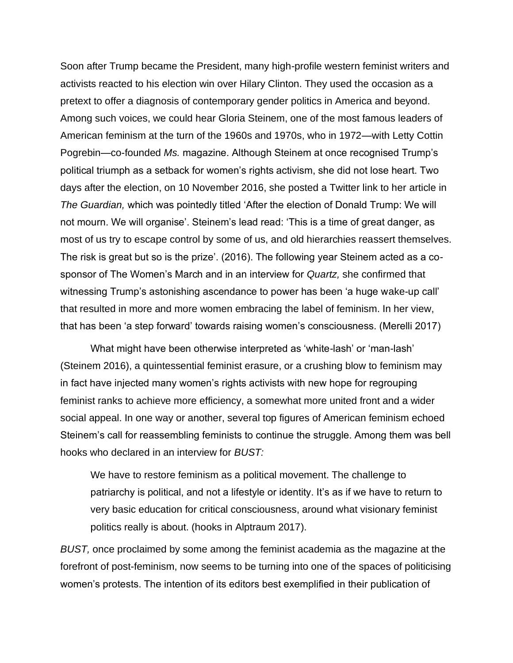Soon after Trump became the President, many high-profile western feminist writers and activists reacted to his election win over Hilary Clinton. They used the occasion as a pretext to offer a diagnosis of contemporary gender politics in America and beyond. Among such voices, we could hear Gloria Steinem, one of the most famous leaders of American feminism at the turn of the 1960s and 1970s, who in 1972—with Letty Cottin Pogrebin—co-founded *Ms.* magazine. Although Steinem at once recognised Trump's political triumph as a setback for women's rights activism, she did not lose heart. Two days after the election, on 10 November 2016, she posted a Twitter link to her article in *The Guardian,* which was pointedly titled 'After the election of Donald Trump: We will not mourn. We will organise'. Steinem's lead read: 'This is a time of great danger, as most of us try to escape control by some of us, and old hierarchies reassert themselves. The risk is great but so is the prize'. (2016). The following year Steinem acted as a cosponsor of The Women's March and in an interview for *Quartz,* she confirmed that witnessing Trump's astonishing ascendance to power has been 'a huge wake-up call' that resulted in more and more women embracing the label of feminism. In her view, that has been 'a step forward' towards raising women's consciousness. (Merelli 2017)

What might have been otherwise interpreted as 'white-lash' or 'man-lash' (Steinem 2016), a quintessential feminist erasure, or a crushing blow to feminism may in fact have injected many women's rights activists with new hope for regrouping feminist ranks to achieve more efficiency, a somewhat more united front and a wider social appeal. In one way or another, several top figures of American feminism echoed Steinem's call for reassembling feminists to continue the struggle. Among them was bell hooks who declared in an interview for *BUST:*

We have to restore feminism as a political movement. The challenge to patriarchy is political, and not a lifestyle or identity. It's as if we have to return to very basic education for critical consciousness, around what visionary feminist politics really is about. (hooks in Alptraum 2017).

*BUST,* once proclaimed by some among the feminist academia as the magazine at the forefront of post-feminism, now seems to be turning into one of the spaces of politicising women's protests. The intention of its editors best exemplified in their publication of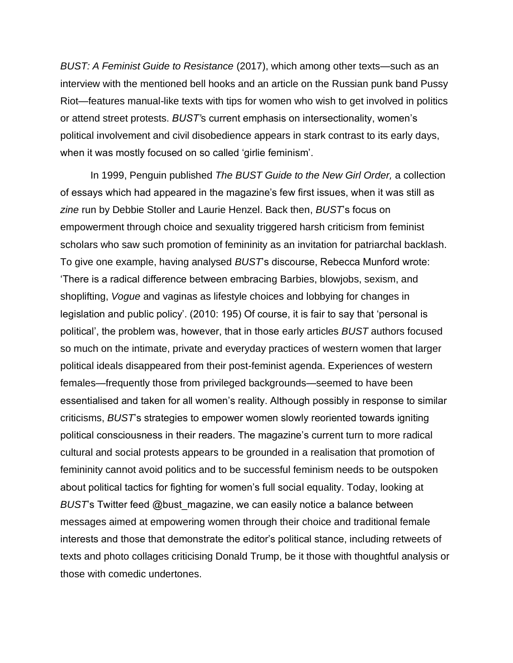*BUST: A Feminist Guide to Resistance* (2017), which among other texts—such as an interview with the mentioned bell hooks and an article on the Russian punk band Pussy Riot—features manual-like texts with tips for women who wish to get involved in politics or attend street protests. *BUST'*s current emphasis on intersectionality, women's political involvement and civil disobedience appears in stark contrast to its early days, when it was mostly focused on so called 'girlie feminism'.

In 1999, Penguin published *The BUST Guide to the New Girl Order,* a collection of essays which had appeared in the magazine's few first issues, when it was still as *zine* run by Debbie Stoller and Laurie Henzel. Back then, *BUST*'s focus on empowerment through choice and sexuality triggered harsh criticism from feminist scholars who saw such promotion of femininity as an invitation for patriarchal backlash. To give one example, having analysed *BUST*'s discourse, Rebecca Munford wrote: 'There is a radical difference between embracing Barbies, blowjobs, sexism, and shoplifting, *Vogue* and vaginas as lifestyle choices and lobbying for changes in legislation and public policy'. (2010: 195) Of course, it is fair to say that 'personal is political', the problem was, however, that in those early articles *BUST* authors focused so much on the intimate, private and everyday practices of western women that larger political ideals disappeared from their post-feminist agenda. Experiences of western females—frequently those from privileged backgrounds—seemed to have been essentialised and taken for all women's reality. Although possibly in response to similar criticisms, *BUST*'s strategies to empower women slowly reoriented towards igniting political consciousness in their readers. The magazine's current turn to more radical cultural and social protests appears to be grounded in a realisation that promotion of femininity cannot avoid politics and to be successful feminism needs to be outspoken about political tactics for fighting for women's full social equality. Today, looking at *BUST*'s Twitter feed @bust\_magazine, we can easily notice a balance between messages aimed at empowering women through their choice and traditional female interests and those that demonstrate the editor's political stance, including retweets of texts and photo collages criticising Donald Trump, be it those with thoughtful analysis or those with comedic undertones.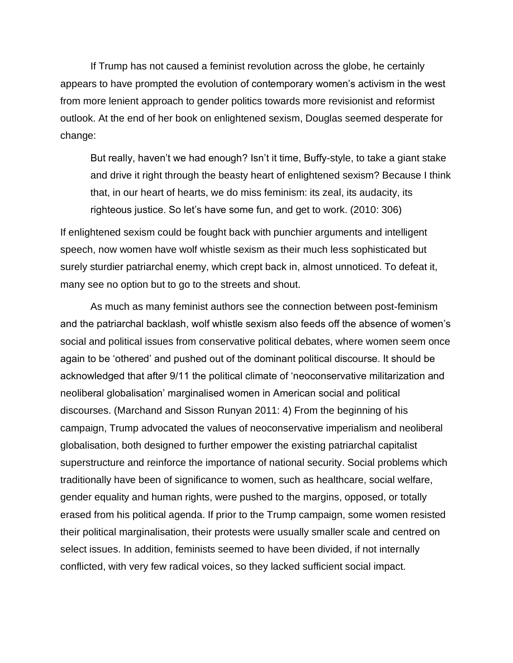If Trump has not caused a feminist revolution across the globe, he certainly appears to have prompted the evolution of contemporary women's activism in the west from more lenient approach to gender politics towards more revisionist and reformist outlook. At the end of her book on enlightened sexism, Douglas seemed desperate for change:

But really, haven't we had enough? Isn't it time, Buffy-style, to take a giant stake and drive it right through the beasty heart of enlightened sexism? Because I think that, in our heart of hearts, we do miss feminism: its zeal, its audacity, its righteous justice. So let's have some fun, and get to work. (2010: 306)

If enlightened sexism could be fought back with punchier arguments and intelligent speech, now women have wolf whistle sexism as their much less sophisticated but surely sturdier patriarchal enemy, which crept back in, almost unnoticed. To defeat it, many see no option but to go to the streets and shout.

As much as many feminist authors see the connection between post-feminism and the patriarchal backlash, wolf whistle sexism also feeds off the absence of women's social and political issues from conservative political debates, where women seem once again to be 'othered' and pushed out of the dominant political discourse. It should be acknowledged that after 9/11 the political climate of 'neoconservative militarization and neoliberal globalisation' marginalised women in American social and political discourses. (Marchand and Sisson Runyan 2011: 4) From the beginning of his campaign, Trump advocated the values of neoconservative imperialism and neoliberal globalisation, both designed to further empower the existing patriarchal capitalist superstructure and reinforce the importance of national security. Social problems which traditionally have been of significance to women, such as healthcare, social welfare, gender equality and human rights, were pushed to the margins, opposed, or totally erased from his political agenda. If prior to the Trump campaign, some women resisted their political marginalisation, their protests were usually smaller scale and centred on select issues. In addition, feminists seemed to have been divided, if not internally conflicted, with very few radical voices, so they lacked sufficient social impact.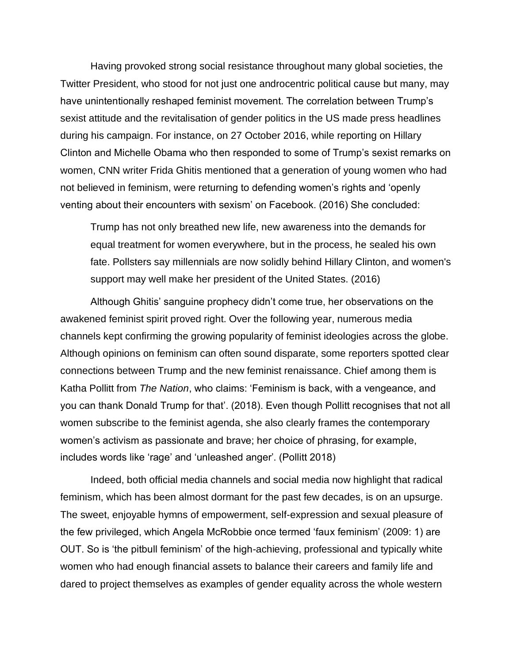Having provoked strong social resistance throughout many global societies, the Twitter President, who stood for not just one androcentric political cause but many, may have unintentionally reshaped feminist movement. The correlation between Trump's sexist attitude and the revitalisation of gender politics in the US made press headlines during his campaign. For instance, on 27 October 2016, while reporting on Hillary Clinton and Michelle Obama who then responded to some of Trump's sexist remarks on women, CNN writer Frida Ghitis mentioned that a generation of young women who had not believed in feminism, were returning to defending women's rights and 'openly venting about their encounters with sexism' on Facebook. (2016) She concluded:

Trump has not only breathed new life, new awareness into the demands for equal treatment for women everywhere, but in the process, he sealed his own fate. Pollsters say millennials are now solidly behind Hillary Clinton, and women's support may well make her president of the United States. (2016)

Although Ghitis' sanguine prophecy didn't come true, her observations on the awakened feminist spirit proved right. Over the following year, numerous media channels kept confirming the growing popularity of feminist ideologies across the globe. Although opinions on feminism can often sound disparate, some reporters spotted clear connections between Trump and the new feminist renaissance. Chief among them is Katha Pollitt from *The Nation*, who claims: 'Feminism is back, with a vengeance, and you can thank Donald Trump for that'. (2018). Even though Pollitt recognises that not all women subscribe to the feminist agenda, she also clearly frames the contemporary women's activism as passionate and brave; her choice of phrasing, for example, includes words like 'rage' and 'unleashed anger'. (Pollitt 2018)

Indeed, both official media channels and social media now highlight that radical feminism, which has been almost dormant for the past few decades, is on an upsurge. The sweet, enjoyable hymns of empowerment, self-expression and sexual pleasure of the few privileged, which Angela McRobbie once termed 'faux feminism' (2009: 1) are OUT. So is 'the pitbull feminism' of the high-achieving, professional and typically white women who had enough financial assets to balance their careers and family life and dared to project themselves as examples of gender equality across the whole western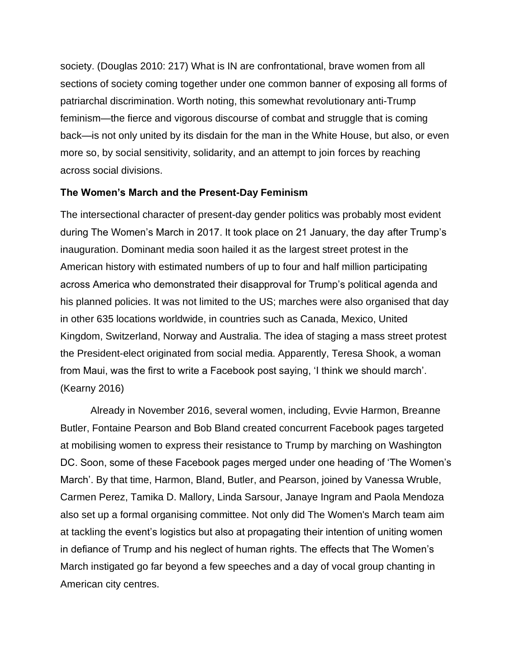society. (Douglas 2010: 217) What is IN are confrontational, brave women from all sections of society coming together under one common banner of exposing all forms of patriarchal discrimination. Worth noting, this somewhat revolutionary anti-Trump feminism—the fierce and vigorous discourse of combat and struggle that is coming back—is not only united by its disdain for the man in the White House, but also, or even more so, by social sensitivity, solidarity, and an attempt to join forces by reaching across social divisions.

# **The Women's March and the Present-Day Feminism**

The intersectional character of present-day gender politics was probably most evident during The Women's March in 2017. It took place on 21 January, the day after Trump's inauguration. Dominant media soon hailed it as the largest street protest in the American history with estimated numbers of up to four and half million participating across America who demonstrated their disapproval for Trump's political agenda and his planned policies. It was not limited to the US; marches were also organised that day in other 635 locations worldwide, in countries such as Canada, Mexico, United Kingdom, Switzerland, Norway and Australia. The idea of staging a mass street protest the President-elect originated from social media. Apparently, Teresa Shook, a woman from Maui, was the first to write a Facebook post saying, 'I think we should march'. (Kearny 2016)

Already in November 2016, several women, including, Evvie Harmon, Breanne Butler, Fontaine Pearson and Bob Bland created concurrent Facebook pages targeted at mobilising women to express their resistance to Trump by marching on Washington DC. Soon, some of these Facebook pages merged under one heading of 'The Women's March'. By that time, Harmon, Bland, Butler, and Pearson, joined by Vanessa Wruble, Carmen Perez, Tamika D. Mallory, Linda Sarsour, Janaye Ingram and Paola Mendoza also set up a formal organising committee. Not only did The Women's March team aim at tackling the event's logistics but also at propagating their intention of uniting women in defiance of Trump and his neglect of human rights. The effects that The Women's March instigated go far beyond a few speeches and a day of vocal group chanting in American city centres.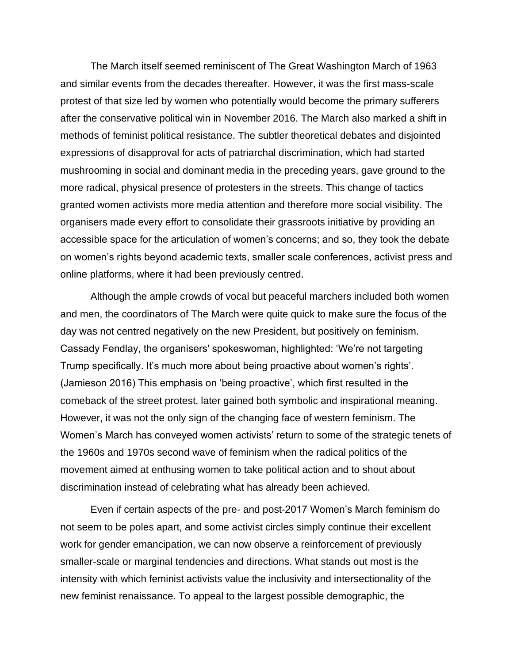The March itself seemed reminiscent of The Great Washington March of 1963 and similar events from the decades thereafter. However, it was the first mass-scale protest of that size led by women who potentially would become the primary sufferers after the conservative political win in November 2016. The March also marked a shift in methods of feminist political resistance. The subtler theoretical debates and disjointed expressions of disapproval for acts of patriarchal discrimination, which had started mushrooming in social and dominant media in the preceding years, gave ground to the more radical, physical presence of protesters in the streets. This change of tactics granted women activists more media attention and therefore more social visibility. The organisers made every effort to consolidate their grassroots initiative by providing an accessible space for the articulation of women's concerns; and so, they took the debate on women's rights beyond academic texts, smaller scale conferences, activist press and online platforms, where it had been previously centred.

Although the ample crowds of vocal but peaceful marchers included both women and men, the coordinators of The March were quite quick to make sure the focus of the day was not centred negatively on the new President, but positively on feminism. Cassady Fendlay, the organisers' spokeswoman, highlighted: 'We're not targeting Trump specifically. It's much more about being proactive about women's rights'. (Jamieson 2016) This emphasis on 'being proactive', which first resulted in the comeback of the street protest, later gained both symbolic and inspirational meaning. However, it was not the only sign of the changing face of western feminism. The Women's March has conveyed women activists' return to some of the strategic tenets of the 1960s and 1970s second wave of feminism when the radical politics of the movement aimed at enthusing women to take political action and to shout about discrimination instead of celebrating what has already been achieved.

Even if certain aspects of the pre- and post-2017 Women's March feminism do not seem to be poles apart, and some activist circles simply continue their excellent work for gender emancipation, we can now observe a reinforcement of previously smaller-scale or marginal tendencies and directions. What stands out most is the intensity with which feminist activists value the inclusivity and intersectionality of the new feminist renaissance. To appeal to the largest possible demographic, the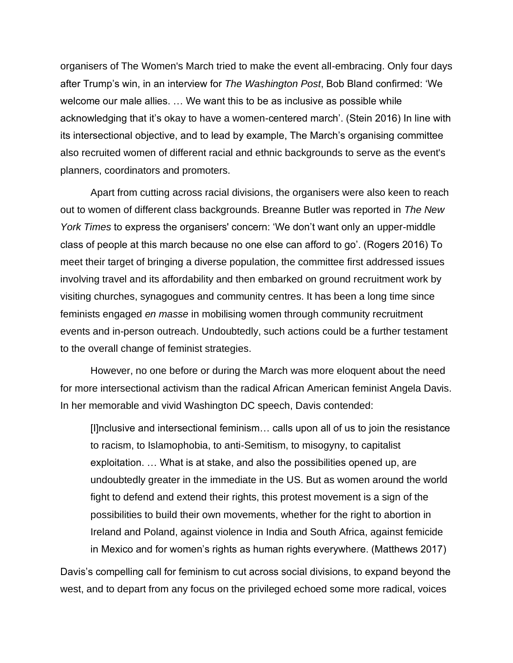organisers of The Women's March tried to make the event all-embracing. Only four days after Trump's win, in an interview for *The Washington Post*, Bob Bland confirmed: 'We welcome our male allies. … We want this to be as inclusive as possible while acknowledging that it's okay to have a women-centered march'. (Stein 2016) In line with its intersectional objective, and to lead by example, The March's organising committee also recruited women of different racial and ethnic backgrounds to serve as the event's planners, coordinators and promoters.

Apart from cutting across racial divisions, the organisers were also keen to reach out to women of different class backgrounds. Breanne Butler was reported in *The New York Times* to express the organisers' concern: 'We don't want only an upper-middle class of people at this march because no one else can afford to go'. (Rogers 2016) To meet their target of bringing a diverse population, the committee first addressed issues involving travel and its affordability and then embarked on ground recruitment work by visiting churches, synagogues and community centres. It has been a long time since feminists engaged *en masse* in mobilising women through community recruitment events and in-person outreach. Undoubtedly, such actions could be a further testament to the overall change of feminist strategies.

However, no one before or during the March was more eloquent about the need for more intersectional activism than the radical African American feminist Angela Davis. In her memorable and vivid Washington DC speech, Davis contended:

[I]nclusive and intersectional feminism… calls upon all of us to join the resistance to racism, to Islamophobia, to anti-Semitism, to misogyny, to capitalist exploitation. … What is at stake, and also the possibilities opened up, are undoubtedly greater in the immediate in the US. But as women around the world fight to defend and extend their rights, this protest movement is a sign of the possibilities to build their own movements, whether for the right to abortion in Ireland and Poland, against violence in India and South Africa, against femicide in Mexico and for women's rights as human rights everywhere. (Matthews 2017)

Davis's compelling call for feminism to cut across social divisions, to expand beyond the west, and to depart from any focus on the privileged echoed some more radical, voices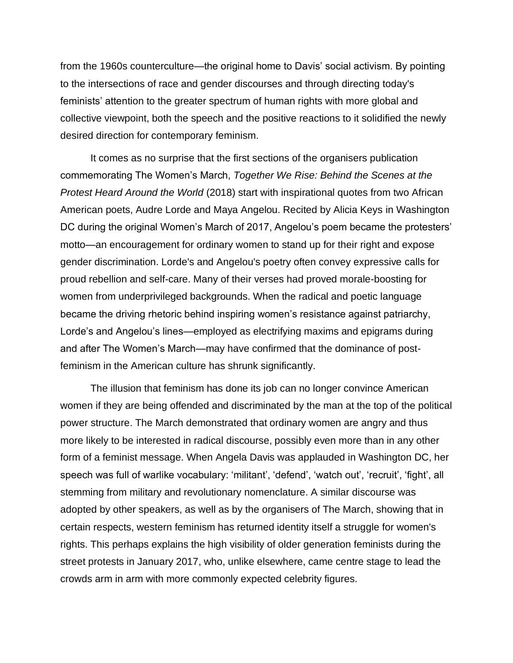from the 1960s counterculture—the original home to Davis' social activism. By pointing to the intersections of race and gender discourses and through directing today's feminists' attention to the greater spectrum of human rights with more global and collective viewpoint, both the speech and the positive reactions to it solidified the newly desired direction for contemporary feminism.

It comes as no surprise that the first sections of the organisers publication commemorating The Women's March, *Together We Rise: Behind the Scenes at the Protest Heard Around the World* (2018) start with inspirational quotes from two African American poets, Audre Lorde and Maya Angelou. Recited by Alicia Keys in Washington DC during the original Women's March of 2017, Angelou's poem became the protesters' motto—an encouragement for ordinary women to stand up for their right and expose gender discrimination. Lorde's and Angelou's poetry often convey expressive calls for proud rebellion and self-care. Many of their verses had proved morale-boosting for women from underprivileged backgrounds. When the radical and poetic language became the driving rhetoric behind inspiring women's resistance against patriarchy, Lorde's and Angelou's lines—employed as electrifying maxims and epigrams during and after The Women's March—may have confirmed that the dominance of postfeminism in the American culture has shrunk significantly.

The illusion that feminism has done its job can no longer convince American women if they are being offended and discriminated by the man at the top of the political power structure. The March demonstrated that ordinary women are angry and thus more likely to be interested in radical discourse, possibly even more than in any other form of a feminist message. When Angela Davis was applauded in Washington DC, her speech was full of warlike vocabulary: 'militant', 'defend', 'watch out', 'recruit', 'fight', all stemming from military and revolutionary nomenclature. A similar discourse was adopted by other speakers, as well as by the organisers of The March, showing that in certain respects, western feminism has returned identity itself a struggle for women's rights. This perhaps explains the high visibility of older generation feminists during the street protests in January 2017, who, unlike elsewhere, came centre stage to lead the crowds arm in arm with more commonly expected celebrity figures.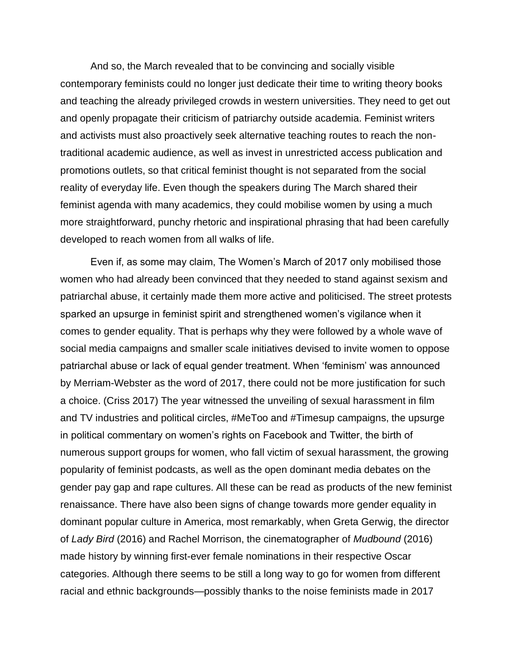And so, the March revealed that to be convincing and socially visible contemporary feminists could no longer just dedicate their time to writing theory books and teaching the already privileged crowds in western universities. They need to get out and openly propagate their criticism of patriarchy outside academia. Feminist writers and activists must also proactively seek alternative teaching routes to reach the nontraditional academic audience, as well as invest in unrestricted access publication and promotions outlets, so that critical feminist thought is not separated from the social reality of everyday life. Even though the speakers during The March shared their feminist agenda with many academics, they could mobilise women by using a much more straightforward, punchy rhetoric and inspirational phrasing that had been carefully developed to reach women from all walks of life.

Even if, as some may claim, The Women's March of 2017 only mobilised those women who had already been convinced that they needed to stand against sexism and patriarchal abuse, it certainly made them more active and politicised. The street protests sparked an upsurge in feminist spirit and strengthened women's vigilance when it comes to gender equality. That is perhaps why they were followed by a whole wave of social media campaigns and smaller scale initiatives devised to invite women to oppose patriarchal abuse or lack of equal gender treatment. When 'feminism' was announced by Merriam-Webster as the word of 2017, there could not be more justification for such a choice. (Criss 2017) The year witnessed the unveiling of sexual harassment in film and TV industries and political circles, #MeToo and #Timesup campaigns, the upsurge in political commentary on women's rights on Facebook and Twitter, the birth of numerous support groups for women, who fall victim of sexual harassment, the growing popularity of feminist podcasts, as well as the open dominant media debates on the gender pay gap and rape cultures. All these can be read as products of the new feminist renaissance. There have also been signs of change towards more gender equality in dominant popular culture in America, most remarkably, when Greta Gerwig, the director of *Lady Bird* (2016) and Rachel Morrison, the cinematographer of *Mudbound* (2016) made history by winning first-ever female nominations in their respective Oscar categories. Although there seems to be still a long way to go for women from different racial and ethnic backgrounds—possibly thanks to the noise feminists made in 2017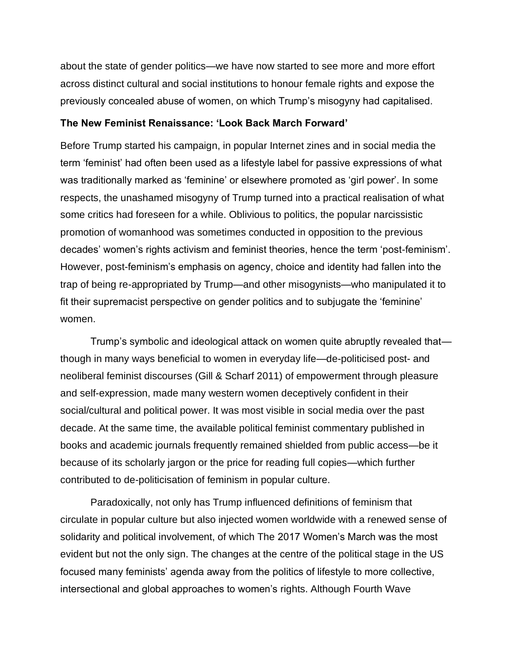about the state of gender politics—we have now started to see more and more effort across distinct cultural and social institutions to honour female rights and expose the previously concealed abuse of women, on which Trump's misogyny had capitalised.

### **The New Feminist Renaissance: 'Look Back March Forward'**

Before Trump started his campaign, in popular Internet zines and in social media the term 'feminist' had often been used as a lifestyle label for passive expressions of what was traditionally marked as 'feminine' or elsewhere promoted as 'girl power'. In some respects, the unashamed misogyny of Trump turned into a practical realisation of what some critics had foreseen for a while. Oblivious to politics, the popular narcissistic promotion of womanhood was sometimes conducted in opposition to the previous decades' women's rights activism and feminist theories, hence the term 'post-feminism'. However, post-feminism's emphasis on agency, choice and identity had fallen into the trap of being re-appropriated by Trump—and other misogynists—who manipulated it to fit their supremacist perspective on gender politics and to subjugate the 'feminine' women.

Trump's symbolic and ideological attack on women quite abruptly revealed that though in many ways beneficial to women in everyday life—de-politicised post- and neoliberal feminist discourses (Gill & Scharf 2011) of empowerment through pleasure and self-expression, made many western women deceptively confident in their social/cultural and political power. It was most visible in social media over the past decade. At the same time, the available political feminist commentary published in books and academic journals frequently remained shielded from public access—be it because of its scholarly jargon or the price for reading full copies—which further contributed to de-politicisation of feminism in popular culture.

Paradoxically, not only has Trump influenced definitions of feminism that circulate in popular culture but also injected women worldwide with a renewed sense of solidarity and political involvement, of which The 2017 Women's March was the most evident but not the only sign. The changes at the centre of the political stage in the US focused many feminists' agenda away from the politics of lifestyle to more collective, intersectional and global approaches to women's rights. Although Fourth Wave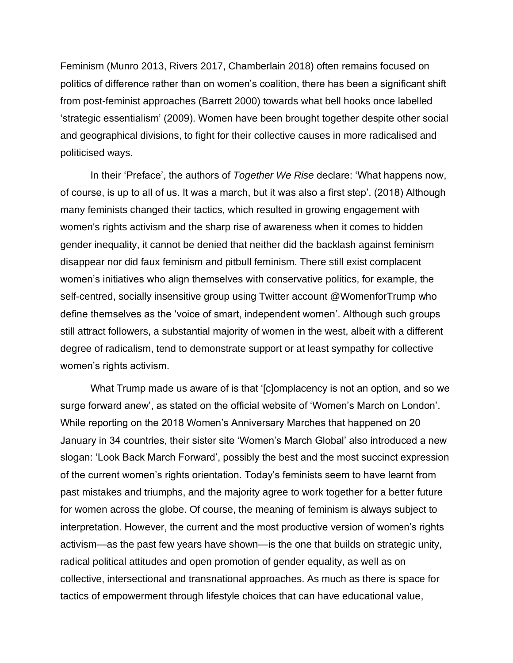Feminism (Munro 2013, Rivers 2017, Chamberlain 2018) often remains focused on politics of difference rather than on women's coalition, there has been a significant shift from post-feminist approaches (Barrett 2000) towards what bell hooks once labelled 'strategic essentialism' (2009). Women have been brought together despite other social and geographical divisions, to fight for their collective causes in more radicalised and politicised ways.

In their 'Preface', the authors of *Together We Rise* declare: 'What happens now, of course, is up to all of us. It was a march, but it was also a first step'. (2018) Although many feminists changed their tactics, which resulted in growing engagement with women's rights activism and the sharp rise of awareness when it comes to hidden gender inequality, it cannot be denied that neither did the backlash against feminism disappear nor did faux feminism and pitbull feminism. There still exist complacent women's initiatives who align themselves with conservative politics, for example, the self-centred, socially insensitive group using Twitter account @WomenforTrump who define themselves as the 'voice of smart, independent women'. Although such groups still attract followers, a substantial majority of women in the west, albeit with a different degree of radicalism, tend to demonstrate support or at least sympathy for collective women's rights activism.

What Trump made us aware of is that '[c]omplacency is not an option, and so we surge forward anew', as stated on the official website of 'Women's March on London'. While reporting on the 2018 Women's Anniversary Marches that happened on 20 January in 34 countries, their sister site 'Women's March Global' also introduced a new slogan: 'Look Back March Forward', possibly the best and the most succinct expression of the current women's rights orientation. Today's feminists seem to have learnt from past mistakes and triumphs, and the majority agree to work together for a better future for women across the globe. Of course, the meaning of feminism is always subject to interpretation. However, the current and the most productive version of women's rights activism—as the past few years have shown—is the one that builds on strategic unity, radical political attitudes and open promotion of gender equality, as well as on collective, intersectional and transnational approaches. As much as there is space for tactics of empowerment through lifestyle choices that can have educational value,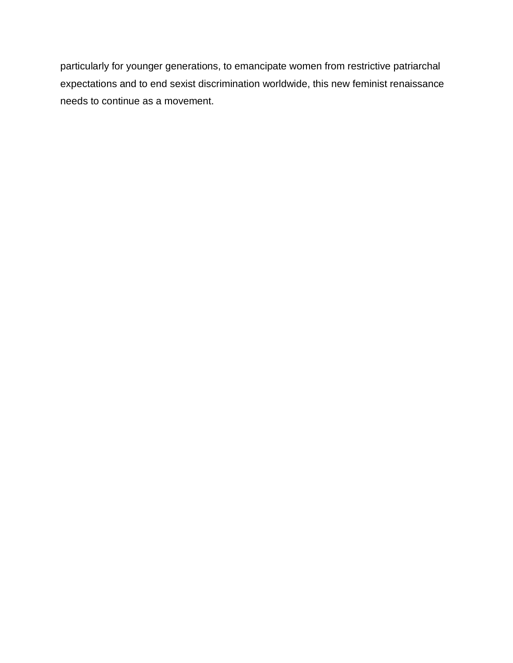particularly for younger generations, to emancipate women from restrictive patriarchal expectations and to end sexist discrimination worldwide, this new feminist renaissance needs to continue as a movement.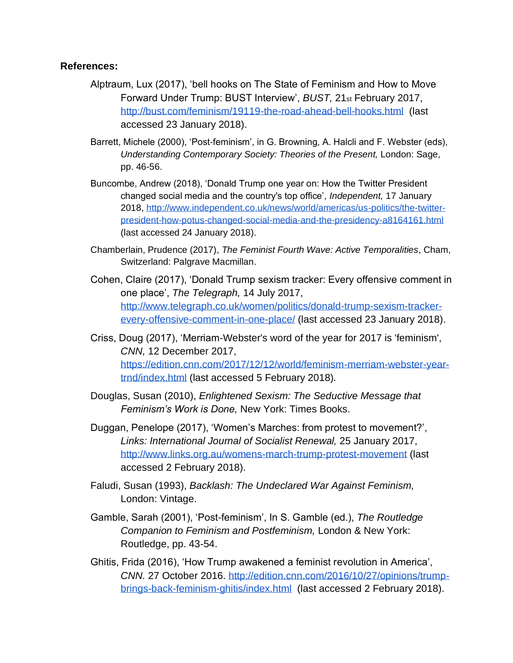### **References:**

- Alptraum, Lux (2017), 'bell hooks on The State of Feminism and How to Move Forward Under Trump: BUST Interview', *BUST,* 21st February 2017[,](http://bust.com/feminism/19119-the-road-ahead-bell-hooks.html) <http://bust.com/feminism/19119-the-road-ahead-bell-hooks.html>(last accessed 23 January 2018).
- Barrett, Michele (2000), 'Post-feminism', in G. Browning, A. Halcli and F. Webster (eds), *Understanding Contemporary Society: Theories of the Present, London: Sage,* pp. 46-56.
- Buncombe, Andrew (2018), 'Donald Trump one year on: How the Twitter President changed social media and the country's top office', *Independent,* 17 January 2018[,](http://www.independent.co.uk/news/world/americas/us-politics/the-twitter-president-how-potus-changed-social-media-and-the-presidency-a8164161.html) [http://www.independent.co.uk/news/world/americas/us-politics/the-twitter](http://www.independent.co.uk/news/world/americas/us-politics/the-twitter-president-how-potus-changed-social-media-and-the-presidency-a8164161.html)[president-how-potus-changed-social-media-and-the-presidency-a8164161.html](http://www.independent.co.uk/news/world/americas/us-politics/the-twitter-president-how-potus-changed-social-media-and-the-presidency-a8164161.html) (last accessed 24 January 2018).
- Chamberlain, Prudence (2017), *The Feminist Fourth Wave: Active Temporalities*, Cham, Switzerland: Palgrave Macmillan.
- Cohen, Claire (2017), 'Donald Trump sexism tracker: Every offensive comment in one place', *The Telegraph,* 14 July 2017[,](http://www.telegraph.co.uk/women/politics/donald-trump-sexism-tracker-every-offensive-comment-in-one-place/) [http://www.telegraph.co.uk/women/politics/donald-trump-sexism-tracker](http://www.telegraph.co.uk/women/politics/donald-trump-sexism-tracker-every-offensive-comment-in-one-place/)[every-offensive-comment-in-one-place/](http://www.telegraph.co.uk/women/politics/donald-trump-sexism-tracker-every-offensive-comment-in-one-place/) (last accessed 23 January 2018).
- Criss, Doug (2017), 'Merriam-Webster's word of the year for 2017 is 'feminism', *CNN,* 12 December 2017[,](https://edition.cnn.com/2017/12/12/world/feminism-merriam-webster-year-trnd/index.html) [https://edition.cnn.com/2017/12/12/world/feminism-merriam-webster-year](https://edition.cnn.com/2017/12/12/world/feminism-merriam-webster-year-trnd/index.html)[trnd/index.html](https://edition.cnn.com/2017/12/12/world/feminism-merriam-webster-year-trnd/index.html) (last accessed 5 February 2018).
- Douglas, Susan (2010), *Enlightened Sexism: The Seductive Message that Feminism's Work is Done,* New York: Times Books.
- Duggan, Penelope (2017), 'Women's Marches: from protest to movement?', *Links: International Journal of Socialist Renewal,* 25 January 2017, <http://www.links.org.au/womens-march-trump-protest-movement> (last accessed 2 February 2018).
- Faludi, Susan (1993), *Backlash: The Undeclared War Against Feminism,*  London: Vintage.
- Gamble, Sarah (2001), 'Post-feminism', In S. Gamble (ed.), *The Routledge Companion to Feminism and Postfeminism,* London & New York: Routledge, pp. 43-54.
- Ghitis, Frida (2016), 'How Trump awakened a feminist revolution in America', *CNN.* 27 October 2016[.](http://edition.cnn.com/2016/10/27/opinions/trump-brings-back-feminism-ghitis/index.html) [http://edition.cnn.com/2016/10/27/opinions/trump](http://edition.cnn.com/2016/10/27/opinions/trump-brings-back-feminism-ghitis/index.html)[brings-back-feminism-ghitis/index.html](http://edition.cnn.com/2016/10/27/opinions/trump-brings-back-feminism-ghitis/index.html) (last accessed 2 February 2018).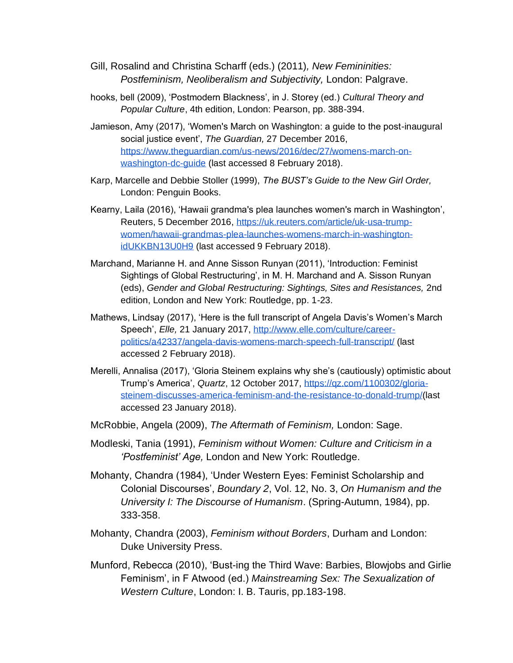- Gill, Rosalind and Christina Scharff (eds.) (2011)*, New Femininities: Postfeminism, Neoliberalism and Subjectivity,* London: Palgrave.
- hooks, bell (2009), 'Postmodern Blackness', in J. Storey (ed.) *Cultural Theory and Popular Culture*, 4th edition, London: Pearson, pp. 388-394.
- Jamieson, Amy (2017), 'Women's March on Washington: a guide to the post-inaugural social justice event', *The Guardian,* 27 December 2016[,](https://www.theguardian.com/us-news/2016/dec/27/womens-march-on-washington-dc-guide) [https://www.theguardian.com/us-news/2016/dec/27/womens-march-on](https://www.theguardian.com/us-news/2016/dec/27/womens-march-on-washington-dc-guide)[washington-dc-guide](https://www.theguardian.com/us-news/2016/dec/27/womens-march-on-washington-dc-guide) (last accessed 8 February 2018).
- Karp, Marcelle and Debbie Stoller (1999), *The BUST's Guide to the New Girl Order,*  London: Penguin Books.
- Kearny, Laila (2016), 'Hawaii grandma's plea launches women's march in Washington', Reuters, 5 December 2016[,](https://uk.reuters.com/article/uk-usa-trump-women/hawaii-grandmas-plea-launches-womens-march-in-washington-idUKKBN13U0H9) [https://uk.reuters.com/article/uk-usa-trump](https://uk.reuters.com/article/uk-usa-trump-women/hawaii-grandmas-plea-launches-womens-march-in-washington-idUKKBN13U0H9)[women/hawaii-grandmas-plea-launches-womens-march-in-washington](https://uk.reuters.com/article/uk-usa-trump-women/hawaii-grandmas-plea-launches-womens-march-in-washington-idUKKBN13U0H9)[idUKKBN13U0H9](https://uk.reuters.com/article/uk-usa-trump-women/hawaii-grandmas-plea-launches-womens-march-in-washington-idUKKBN13U0H9) (last accessed 9 February 2018).
- Marchand, Marianne H. and Anne Sisson Runyan (2011), 'Introduction: Feminist Sightings of Global Restructuring', in M. H. Marchand and A. Sisson Runyan (eds), *Gender and Global Restructuring: Sightings, Sites and Resistances,* 2nd edition, London and New York: Routledge, pp. 1-23.
- Mathews, Lindsay (2017), 'Here is the full transcript of Angela Davis's Women's March Speech', *Elle,* 21 January 2017[,](http://www.elle.com/culture/career-politics/a42337/angela-davis-womens-march-speech-full-transcript/) [http://www.elle.com/culture/career](http://www.elle.com/culture/career-politics/a42337/angela-davis-womens-march-speech-full-transcript/)[politics/a42337/angela-davis-womens-march-speech-full-transcript/](http://www.elle.com/culture/career-politics/a42337/angela-davis-womens-march-speech-full-transcript/) (last accessed 2 February 2018).
- Merelli, Annalisa (2017), 'Gloria Steinem explains why she's (cautiously) optimistic about Trump's America', *Quartz*, 12 October 2017[,](https://qz.com/1100302/gloria-steinem-discusses-america-feminism-and-the-resistance-to-donald-trump/) [https://qz.com/1100302/gloria](https://qz.com/1100302/gloria-steinem-discusses-america-feminism-and-the-resistance-to-donald-trump/)[steinem-discusses-america-feminism-and-the-resistance-to-donald-trump/\(](https://qz.com/1100302/gloria-steinem-discusses-america-feminism-and-the-resistance-to-donald-trump/)last accessed 23 January 2018).
- McRobbie, Angela (2009), *The Aftermath of Feminism,* London: Sage.
- Modleski, Tania (1991), *Feminism without Women: Culture and Criticism in a 'Postfeminist' Age,* London and New York: Routledge.
- Mohanty, Chandra (1984), 'Under Western Eyes: Feminist Scholarship and Colonial Discourses', *Boundary 2*, Vol. 12, No. 3, *On Humanism and the University I: The Discourse of Humanism*. (Spring-Autumn, 1984), pp. 333-358.
- Mohanty, Chandra (2003), *Feminism without Borders*, Durham and London: Duke University Press.
- Munford, Rebecca (2010), 'Bust-ing the Third Wave: Barbies, Blowjobs and Girlie Feminism', in F Atwood (ed.) *Mainstreaming Sex: The Sexualization of Western Culture*, London: I. B. Tauris, pp.183-198.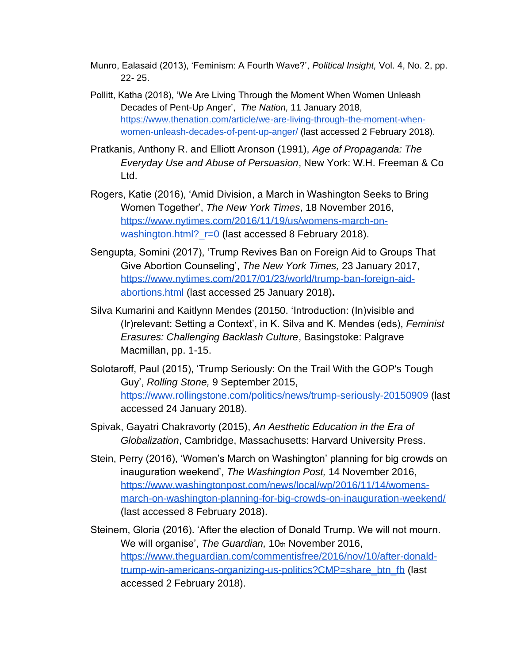- Munro, Ealasaid (2013), 'Feminism: A Fourth Wave?', *Political Insight,* Vol. 4, No. 2, pp. 22- 25.
- Pollitt, Katha (2018), 'We Are Living Through the Moment When Women Unleash Decades of Pent-Up Anger', *The Nation,* 11 January 2018[,](https://www.thenation.com/article/we-are-living-through-the-moment-when-women-unleash-decades-of-pent-up-anger/) [https://www.thenation.com/article/we-are-living-through-the-moment-when](https://www.thenation.com/article/we-are-living-through-the-moment-when-women-unleash-decades-of-pent-up-anger/)[women-unleash-decades-of-pent-up-anger/](https://www.thenation.com/article/we-are-living-through-the-moment-when-women-unleash-decades-of-pent-up-anger/) (last accessed 2 February 2018).
- Pratkanis, Anthony R. and Elliott Aronson (1991), *Age of Propaganda: The Everyday Use and Abuse of Persuasion*, New York: W.H. Freeman & Co Ltd.
- Rogers, Katie (2016), 'Amid Division, a March in Washington Seeks to Bring Women Together', *The New York Times*, 18 November 2016[,](https://www.nytimes.com/2016/11/19/us/womens-march-on-washington.html?_r=0) [https://www.nytimes.com/2016/11/19/us/womens-march-on](https://www.nytimes.com/2016/11/19/us/womens-march-on-washington.html?_r=0)washington.html? r=0 (last accessed 8 February 2018).
- Sengupta, Somini (2017), 'Trump Revives Ban on Foreign Aid to Groups That Give Abortion Counseling', *The New York Times,* 23 January 2017[,](https://www.nytimes.com/2017/01/23/world/trump-ban-foreign-aid-abortions.html) [https://www.nytimes.com/2017/01/23/world/trump-ban-foreign-aid](https://www.nytimes.com/2017/01/23/world/trump-ban-foreign-aid-abortions.html)[abortions.html](https://www.nytimes.com/2017/01/23/world/trump-ban-foreign-aid-abortions.html) (last accessed 25 January 2018)**.**
- Silva Kumarini and Kaitlynn Mendes (20150. 'Introduction: (In)visible and (Ir)relevant: Setting a Context', in K. Silva and K. Mendes (eds), *Feminist Erasures: Challenging Backlash Culture*, Basingstoke: Palgrave Macmillan, pp. 1-15.
- Solotaroff, Paul (2015), 'Trump Seriously: On the Trail With the GOP's Tough Guy', *Rolling Stone,* 9 September 2015[,](https://www.rollingstone.com/politics/news/trump-seriously-20150909) <https://www.rollingstone.com/politics/news/trump-seriously-20150909> (last accessed 24 January 2018).
- Spivak, Gayatri Chakravorty (2015), *An Aesthetic Education in the Era of Globalization*, Cambridge, Massachusetts: Harvard University Press.
- Stein, Perry (2016), 'Women's March on Washington' planning for big crowds on inauguration weekend', *The Washington Post,* 14 November 2016[,](https://www.washingtonpost.com/news/local/wp/2016/11/14/womens-march-on-washington-planning-for-big-crowds-on-inauguration-weekend/?utm_term=.45a561fd201c) [https://www.washingtonpost.com/news/local/wp/2016/11/14/womens](https://www.washingtonpost.com/news/local/wp/2016/11/14/womens-march-on-washington-planning-for-big-crowds-on-inauguration-weekend/?utm_term=.45a561fd201c)[march-on-washington-planning-for-big-crowds-on-inauguration-weekend/](https://www.washingtonpost.com/news/local/wp/2016/11/14/womens-march-on-washington-planning-for-big-crowds-on-inauguration-weekend/?utm_term=.45a561fd201c) (last accessed 8 February 2018).
- Steinem, Gloria (2016). 'After the election of Donald Trump. We will not mourn. We will organise', *The Guardian,* 10th November 2016[,](https://www.theguardian.com/commentisfree/2016/nov/10/after-donald-trump-win-americans-organizing-us-politics?CMP=share_btn_fb) [https://www.theguardian.com/commentisfree/2016/nov/10/after-donald](https://www.theguardian.com/commentisfree/2016/nov/10/after-donald-trump-win-americans-organizing-us-politics?CMP=share_btn_fb)[trump-win-americans-organizing-us-politics?CMP=share\\_btn\\_fb](https://www.theguardian.com/commentisfree/2016/nov/10/after-donald-trump-win-americans-organizing-us-politics?CMP=share_btn_fb) (last accessed 2 February 2018).